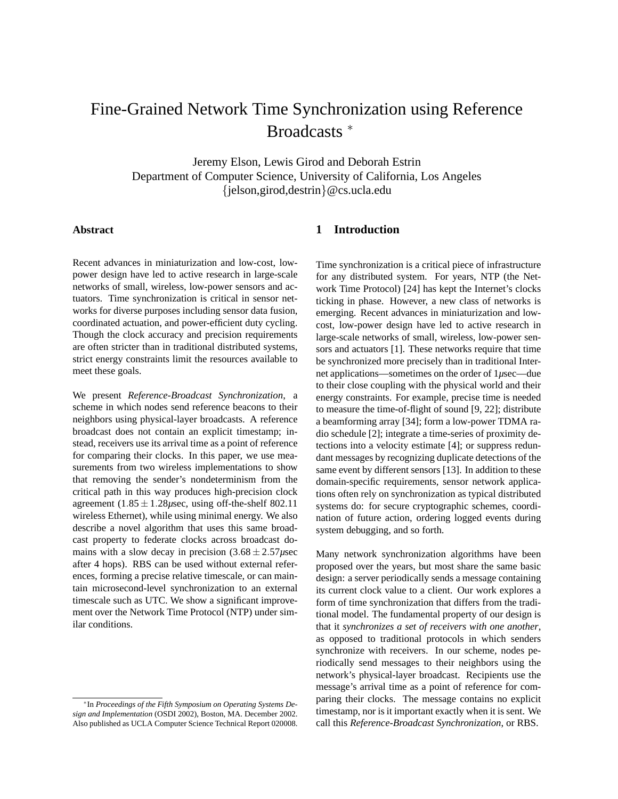# Fine-Grained Network Time Synchronization using Reference Broadcasts <sup>∗</sup>

Jeremy Elson, Lewis Girod and Deborah Estrin Department of Computer Science, University of California, Los Angeles {jelson,girod,destrin}@cs.ucla.edu

## **Abstract**

Recent advances in miniaturization and low-cost, lowpower design have led to active research in large-scale networks of small, wireless, low-power sensors and actuators. Time synchronization is critical in sensor networks for diverse purposes including sensor data fusion, coordinated actuation, and power-efficient duty cycling. Though the clock accuracy and precision requirements are often stricter than in traditional distributed systems, strict energy constraints limit the resources available to meet these goals.

We present *Reference-Broadcast Synchronization*, a scheme in which nodes send reference beacons to their neighbors using physical-layer broadcasts. A reference broadcast does not contain an explicit timestamp; instead, receivers use its arrival time as a point of reference for comparing their clocks. In this paper, we use measurements from two wireless implementations to show that removing the sender's nondeterminism from the critical path in this way produces high-precision clock agreement  $(1.85 \pm 1.28 \mu \text{sec}$ , using off-the-shelf 802.11 wireless Ethernet), while using minimal energy. We also describe a novel algorithm that uses this same broadcast property to federate clocks across broadcast domains with a slow decay in precision  $(3.68 \pm 2.57 \mu \text{sec})$ after 4 hops). RBS can be used without external references, forming a precise relative timescale, or can maintain microsecond-level synchronization to an external timescale such as UTC. We show a significant improvement over the Network Time Protocol (NTP) under similar conditions.

# **1 Introduction**

Time synchronization is a critical piece of infrastructure for any distributed system. For years, NTP (the Network Time Protocol) [24] has kept the Internet's clocks ticking in phase. However, a new class of networks is emerging. Recent advances in miniaturization and lowcost, low-power design have led to active research in large-scale networks of small, wireless, low-power sensors and actuators [1]. These networks require that time be synchronized more precisely than in traditional Internet applications—sometimes on the order of 1*µ*sec—due to their close coupling with the physical world and their energy constraints. For example, precise time is needed to measure the time-of-flight of sound [9, 22]; distribute a beamforming array [34]; form a low-power TDMA radio schedule [2]; integrate a time-series of proximity detections into a velocity estimate [4]; or suppress redundant messages by recognizing duplicate detections of the same event by different sensors [13]. In addition to these domain-specific requirements, sensor network applications often rely on synchronization as typical distributed systems do: for secure cryptographic schemes, coordination of future action, ordering logged events during system debugging, and so forth.

Many network synchronization algorithms have been proposed over the years, but most share the same basic design: a server periodically sends a message containing its current clock value to a client. Our work explores a form of time synchronization that differs from the traditional model. The fundamental property of our design is that it *synchronizes a set of receivers with one another*, as opposed to traditional protocols in which senders synchronize with receivers. In our scheme, nodes periodically send messages to their neighbors using the network's physical-layer broadcast. Recipients use the message's arrival time as a point of reference for comparing their clocks. The message contains no explicit timestamp, nor is it important exactly when it is sent. We call this *Reference-Broadcast Synchronization*, or RBS.

<sup>∗</sup> In *Proceedings of the Fifth Symposium on Operating Systems Design and Implementation* (OSDI 2002), Boston, MA. December 2002. Also published as UCLA Computer Science Technical Report 020008.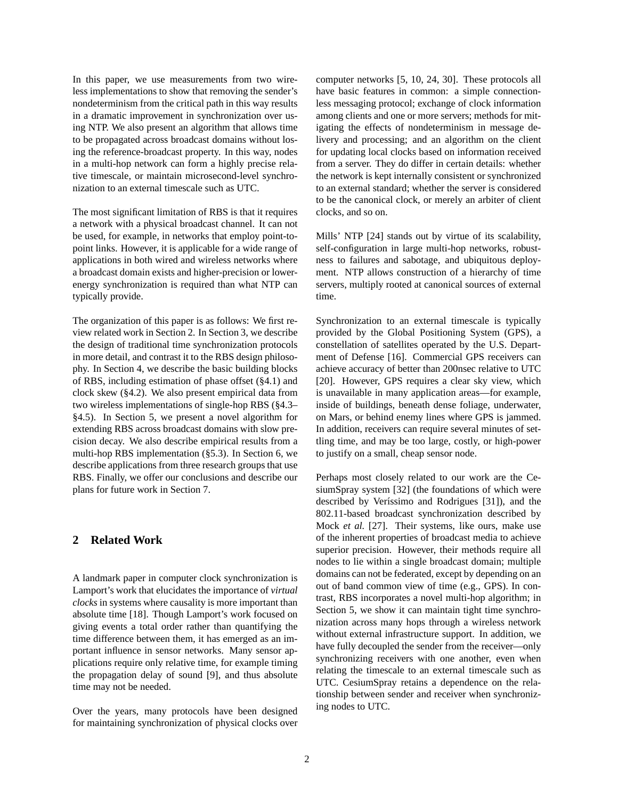In this paper, we use measurements from two wireless implementations to show that removing the sender's nondeterminism from the critical path in this way results in a dramatic improvement in synchronization over using NTP. We also present an algorithm that allows time to be propagated across broadcast domains without losing the reference-broadcast property. In this way, nodes in a multi-hop network can form a highly precise relative timescale, or maintain microsecond-level synchronization to an external timescale such as UTC.

The most significant limitation of RBS is that it requires a network with a physical broadcast channel. It can not be used, for example, in networks that employ point-topoint links. However, it is applicable for a wide range of applications in both wired and wireless networks where a broadcast domain exists and higher-precision or lowerenergy synchronization is required than what NTP can typically provide.

The organization of this paper is as follows: We first review related work in Section 2. In Section 3, we describe the design of traditional time synchronization protocols in more detail, and contrast it to the RBS design philosophy. In Section 4, we describe the basic building blocks of RBS, including estimation of phase offset (§4.1) and clock skew (§4.2). We also present empirical data from two wireless implementations of single-hop RBS (§4.3– §4.5). In Section 5, we present a novel algorithm for extending RBS across broadcast domains with slow precision decay. We also describe empirical results from a multi-hop RBS implementation (§5.3). In Section 6, we describe applications from three research groups that use RBS. Finally, we offer our conclusions and describe our plans for future work in Section 7.

# **2 Related Work**

A landmark paper in computer clock synchronization is Lamport's work that elucidates the importance of *virtual clocks* in systems where causality is more important than absolute time [18]. Though Lamport's work focused on giving events a total order rather than quantifying the time difference between them, it has emerged as an important influence in sensor networks. Many sensor applications require only relative time, for example timing the propagation delay of sound [9], and thus absolute time may not be needed.

Over the years, many protocols have been designed for maintaining synchronization of physical clocks over computer networks [5, 10, 24, 30]. These protocols all have basic features in common: a simple connectionless messaging protocol; exchange of clock information among clients and one or more servers; methods for mitigating the effects of nondeterminism in message delivery and processing; and an algorithm on the client for updating local clocks based on information received from a server. They do differ in certain details: whether the network is kept internally consistent or synchronized to an external standard; whether the server is considered to be the canonical clock, or merely an arbiter of client clocks, and so on.

Mills' NTP [24] stands out by virtue of its scalability, self-configuration in large multi-hop networks, robustness to failures and sabotage, and ubiquitous deployment. NTP allows construction of a hierarchy of time servers, multiply rooted at canonical sources of external time.

Synchronization to an external timescale is typically provided by the Global Positioning System (GPS), a constellation of satellites operated by the U.S. Department of Defense [16]. Commercial GPS receivers can achieve accuracy of better than 200nsec relative to UTC [20]. However, GPS requires a clear sky view, which is unavailable in many application areas—for example, inside of buildings, beneath dense foliage, underwater, on Mars, or behind enemy lines where GPS is jammed. In addition, receivers can require several minutes of settling time, and may be too large, costly, or high-power to justify on a small, cheap sensor node.

Perhaps most closely related to our work are the CesiumSpray system [32] (the foundations of which were described by Veríssimo and Rodrigues [31]), and the 802.11-based broadcast synchronization described by Mock *et al.* [27]. Their systems, like ours, make use of the inherent properties of broadcast media to achieve superior precision. However, their methods require all nodes to lie within a single broadcast domain; multiple domains can not be federated, except by depending on an out of band common view of time (e.g., GPS). In contrast, RBS incorporates a novel multi-hop algorithm; in Section 5, we show it can maintain tight time synchronization across many hops through a wireless network without external infrastructure support. In addition, we have fully decoupled the sender from the receiver—only synchronizing receivers with one another, even when relating the timescale to an external timescale such as UTC. CesiumSpray retains a dependence on the relationship between sender and receiver when synchronizing nodes to UTC.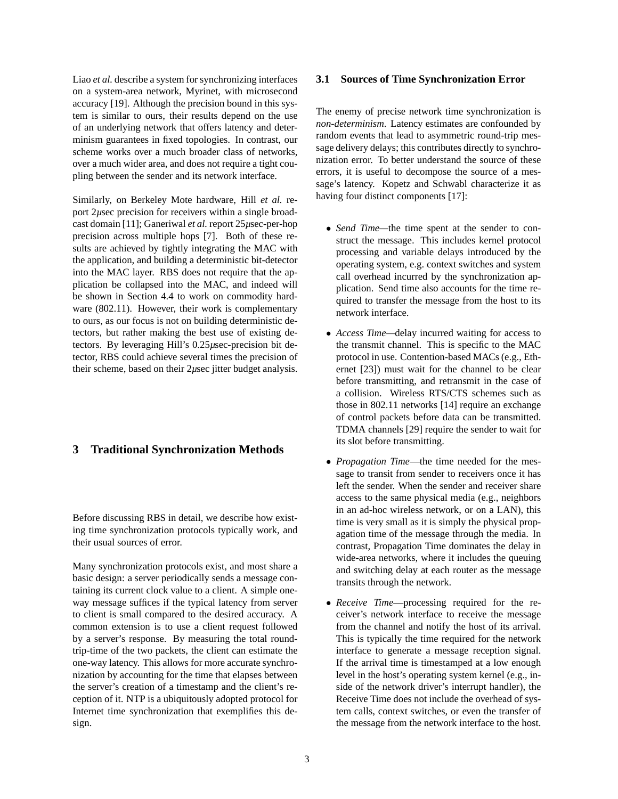Liao *et al.* describe a system for synchronizing interfaces on a system-area network, Myrinet, with microsecond accuracy [19]. Although the precision bound in this system is similar to ours, their results depend on the use of an underlying network that offers latency and determinism guarantees in fixed topologies. In contrast, our scheme works over a much broader class of networks, over a much wider area, and does not require a tight coupling between the sender and its network interface.

Similarly, on Berkeley Mote hardware, Hill *et al.* report 2*µ*sec precision for receivers within a single broadcast domain [11]; Ganeriwal *et al.* report 25*µ*sec-per-hop precision across multiple hops [7]. Both of these results are achieved by tightly integrating the MAC with the application, and building a deterministic bit-detector into the MAC layer. RBS does not require that the application be collapsed into the MAC, and indeed will be shown in Section 4.4 to work on commodity hardware (802.11). However, their work is complementary to ours, as our focus is not on building deterministic detectors, but rather making the best use of existing detectors. By leveraging Hill's 0.25*µ*sec-precision bit detector, RBS could achieve several times the precision of their scheme, based on their 2*µ*sec jitter budget analysis.

# **3 Traditional Synchronization Methods**

Before discussing RBS in detail, we describe how existing time synchronization protocols typically work, and their usual sources of error.

Many synchronization protocols exist, and most share a basic design: a server periodically sends a message containing its current clock value to a client. A simple oneway message suffices if the typical latency from server to client is small compared to the desired accuracy. A common extension is to use a client request followed by a server's response. By measuring the total roundtrip-time of the two packets, the client can estimate the one-way latency. This allows for more accurate synchronization by accounting for the time that elapses between the server's creation of a timestamp and the client's reception of it. NTP is a ubiquitously adopted protocol for Internet time synchronization that exemplifies this design.

## **3.1 Sources of Time Synchronization Error**

The enemy of precise network time synchronization is *non-determinism*. Latency estimates are confounded by random events that lead to asymmetric round-trip message delivery delays; this contributes directly to synchronization error. To better understand the source of these errors, it is useful to decompose the source of a message's latency. Kopetz and Schwabl characterize it as having four distinct components [17]:

- *Send Time—*the time spent at the sender to construct the message. This includes kernel protocol processing and variable delays introduced by the operating system, e.g. context switches and system call overhead incurred by the synchronization application. Send time also accounts for the time required to transfer the message from the host to its network interface.
- *Access Time—*delay incurred waiting for access to the transmit channel. This is specific to the MAC protocol in use. Contention-based MACs (e.g., Ethernet [23]) must wait for the channel to be clear before transmitting, and retransmit in the case of a collision. Wireless RTS/CTS schemes such as those in 802.11 networks [14] require an exchange of control packets before data can be transmitted. TDMA channels [29] require the sender to wait for its slot before transmitting.
- *Propagation Time*—the time needed for the message to transit from sender to receivers once it has left the sender. When the sender and receiver share access to the same physical media (e.g., neighbors in an ad-hoc wireless network, or on a LAN), this time is very small as it is simply the physical propagation time of the message through the media. In contrast, Propagation Time dominates the delay in wide-area networks, where it includes the queuing and switching delay at each router as the message transits through the network.
- *Receive Time*—processing required for the receiver's network interface to receive the message from the channel and notify the host of its arrival. This is typically the time required for the network interface to generate a message reception signal. If the arrival time is timestamped at a low enough level in the host's operating system kernel (e.g., inside of the network driver's interrupt handler), the Receive Time does not include the overhead of system calls, context switches, or even the transfer of the message from the network interface to the host.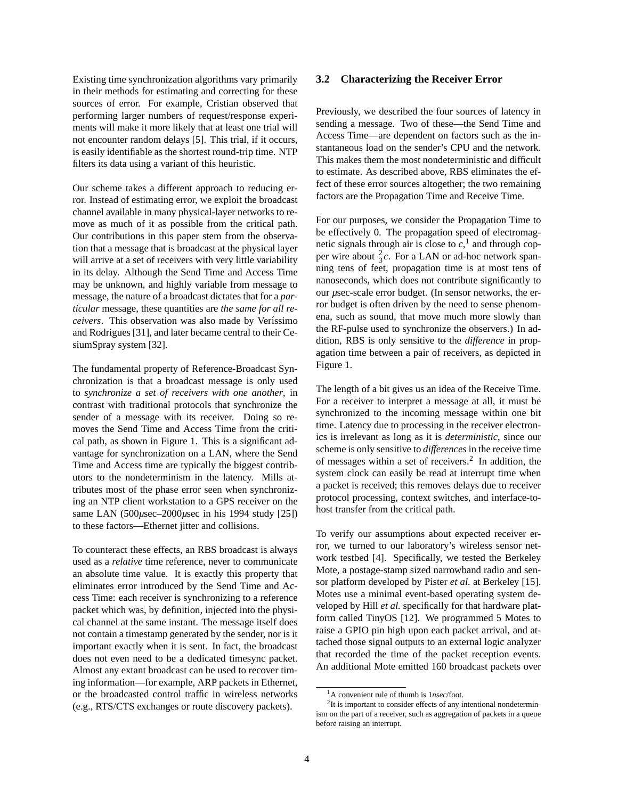Existing time synchronization algorithms vary primarily in their methods for estimating and correcting for these sources of error. For example, Cristian observed that performing larger numbers of request/response experiments will make it more likely that at least one trial will not encounter random delays [5]. This trial, if it occurs, is easily identifiable as the shortest round-trip time. NTP filters its data using a variant of this heuristic.

Our scheme takes a different approach to reducing error. Instead of estimating error, we exploit the broadcast channel available in many physical-layer networks to remove as much of it as possible from the critical path. Our contributions in this paper stem from the observation that a message that is broadcast at the physical layer will arrive at a set of receivers with very little variability in its delay. Although the Send Time and Access Time may be unknown, and highly variable from message to message, the nature of a broadcast dictates that for a *particular* message, these quantities are *the same for all receivers*. This observation was also made by Veríssimo and Rodrigues [31], and later became central to their CesiumSpray system [32].

The fundamental property of Reference-Broadcast Synchronization is that a broadcast message is only used to *synchronize a set of receivers with one another*, in contrast with traditional protocols that synchronize the sender of a message with its receiver. Doing so removes the Send Time and Access Time from the critical path, as shown in Figure 1. This is a significant advantage for synchronization on a LAN, where the Send Time and Access time are typically the biggest contributors to the nondeterminism in the latency. Mills attributes most of the phase error seen when synchronizing an NTP client workstation to a GPS receiver on the same LAN (500*µ*sec–2000*µ*sec in his 1994 study [25]) to these factors—Ethernet jitter and collisions.

To counteract these effects, an RBS broadcast is always used as a *relative* time reference, never to communicate an absolute time value. It is exactly this property that eliminates error introduced by the Send Time and Access Time: each receiver is synchronizing to a reference packet which was, by definition, injected into the physical channel at the same instant. The message itself does not contain a timestamp generated by the sender, nor is it important exactly when it is sent. In fact, the broadcast does not even need to be a dedicated timesync packet. Almost any extant broadcast can be used to recover timing information—for example, ARP packets in Ethernet, or the broadcasted control traffic in wireless networks (e.g., RTS/CTS exchanges or route discovery packets).

#### **3.2 Characterizing the Receiver Error**

Previously, we described the four sources of latency in sending a message. Two of these—the Send Time and Access Time—are dependent on factors such as the instantaneous load on the sender's CPU and the network. This makes them the most nondeterministic and difficult to estimate. As described above, RBS eliminates the effect of these error sources altogether; the two remaining factors are the Propagation Time and Receive Time.

For our purposes, we consider the Propagation Time to be effectively 0. The propagation speed of electromagnetic signals through air is close to  $c<sup>1</sup>$  and through copper wire about  $\frac{2}{3}c$ . For a LAN or ad-hoc network spanning tens of feet, propagation time is at most tens of nanoseconds, which does not contribute significantly to our *µ*sec-scale error budget. (In sensor networks, the error budget is often driven by the need to sense phenomena, such as sound, that move much more slowly than the RF-pulse used to synchronize the observers.) In addition, RBS is only sensitive to the *difference* in propagation time between a pair of receivers, as depicted in Figure 1.

The length of a bit gives us an idea of the Receive Time. For a receiver to interpret a message at all, it must be synchronized to the incoming message within one bit time. Latency due to processing in the receiver electronics is irrelevant as long as it is *deterministic*, since our scheme is only sensitive to *differences* in the receive time of messages within a set of receivers.<sup>2</sup> In addition, the system clock can easily be read at interrupt time when a packet is received; this removes delays due to receiver protocol processing, context switches, and interface-tohost transfer from the critical path.

To verify our assumptions about expected receiver error, we turned to our laboratory's wireless sensor network testbed [4]. Specifically, we tested the Berkeley Mote, a postage-stamp sized narrowband radio and sensor platform developed by Pister *et al.* at Berkeley [15]. Motes use a minimal event-based operating system developed by Hill *et al.* specifically for that hardware platform called TinyOS [12]. We programmed 5 Motes to raise a GPIO pin high upon each packet arrival, and attached those signal outputs to an external logic analyzer that recorded the time of the packet reception events. An additional Mote emitted 160 broadcast packets over

<sup>1</sup>A convenient rule of thumb is 1*nsec*/foot.

 $2$ It is important to consider effects of any intentional nondeterminism on the part of a receiver, such as aggregation of packets in a queue before raising an interrupt.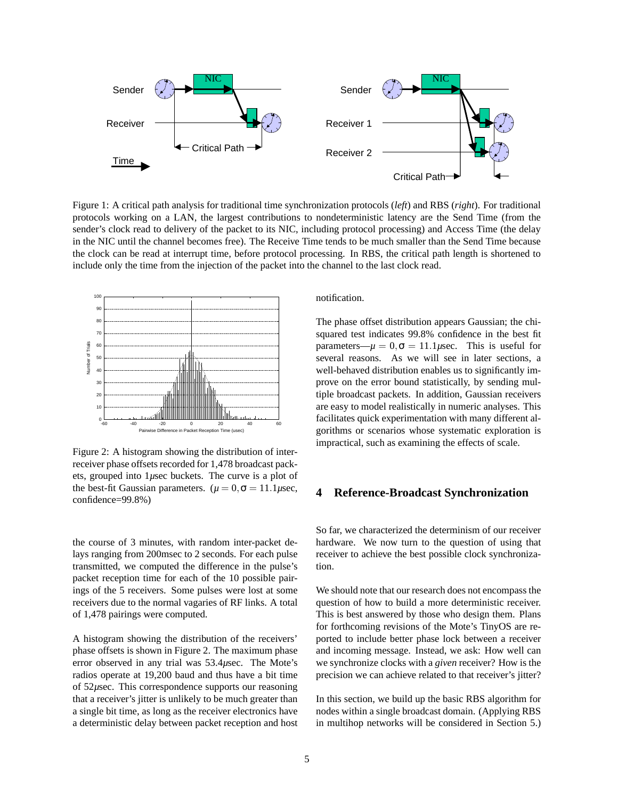

Figure 1: A critical path analysis for traditional time synchronization protocols (*left*) and RBS (*right*). For traditional protocols working on a LAN, the largest contributions to nondeterministic latency are the Send Time (from the sender's clock read to delivery of the packet to its NIC, including protocol processing) and Access Time (the delay in the NIC until the channel becomes free). The Receive Time tends to be much smaller than the Send Time because the clock can be read at interrupt time, before protocol processing. In RBS, the critical path length is shortened to include only the time from the injection of the packet into the channel to the last clock read.



Figure 2: A histogram showing the distribution of interreceiver phase offsets recorded for 1,478 broadcast packets, grouped into 1*µ*sec buckets. The curve is a plot of the best-fit Gaussian parameters. ( $\mu = 0$ ,  $\sigma = 11.1 \mu$ sec, confidence=99.8%)

the course of 3 minutes, with random inter-packet delays ranging from 200msec to 2 seconds. For each pulse transmitted, we computed the difference in the pulse's packet reception time for each of the 10 possible pairings of the 5 receivers. Some pulses were lost at some receivers due to the normal vagaries of RF links. A total of 1,478 pairings were computed.

A histogram showing the distribution of the receivers' phase offsets is shown in Figure 2. The maximum phase error observed in any trial was 53.4*µ*sec. The Mote's radios operate at 19,200 baud and thus have a bit time of 52*µ*sec. This correspondence supports our reasoning that a receiver's jitter is unlikely to be much greater than a single bit time, as long as the receiver electronics have a deterministic delay between packet reception and host notification.

The phase offset distribution appears Gaussian; the chisquared test indicates 99.8% confidence in the best fit parameters— $\mu = 0, \sigma = 11.1 \mu$ sec. This is useful for several reasons. As we will see in later sections, a well-behaved distribution enables us to significantly improve on the error bound statistically, by sending multiple broadcast packets. In addition, Gaussian receivers are easy to model realistically in numeric analyses. This facilitates quick experimentation with many different algorithms or scenarios whose systematic exploration is impractical, such as examining the effects of scale.

## **4 Reference-Broadcast Synchronization**

So far, we characterized the determinism of our receiver hardware. We now turn to the question of using that receiver to achieve the best possible clock synchronization.

We should note that our research does not encompass the question of how to build a more deterministic receiver. This is best answered by those who design them. Plans for forthcoming revisions of the Mote's TinyOS are reported to include better phase lock between a receiver and incoming message. Instead, we ask: How well can we synchronize clocks with a *given* receiver? How is the precision we can achieve related to that receiver's jitter?

In this section, we build up the basic RBS algorithm for nodes within a single broadcast domain. (Applying RBS in multihop networks will be considered in Section 5.)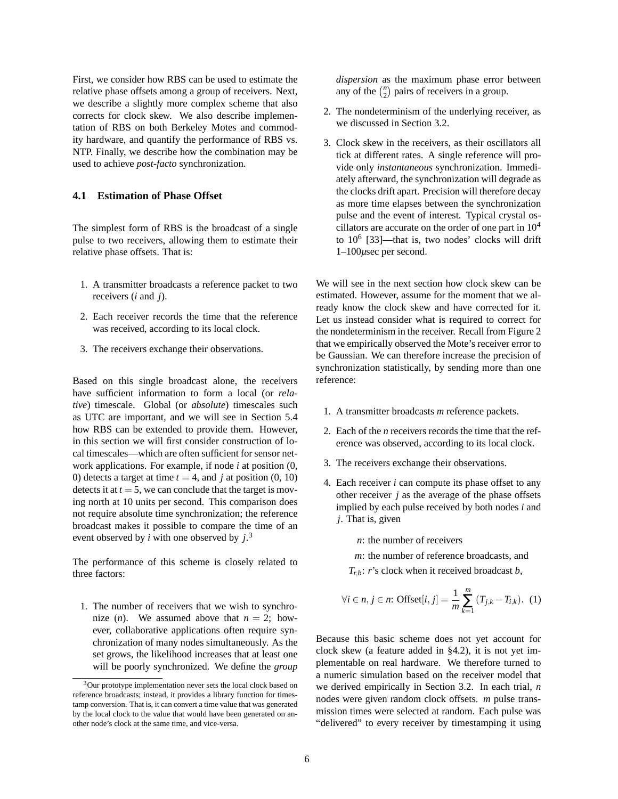First, we consider how RBS can be used to estimate the relative phase offsets among a group of receivers. Next, we describe a slightly more complex scheme that also corrects for clock skew. We also describe implementation of RBS on both Berkeley Motes and commodity hardware, and quantify the performance of RBS vs. NTP. Finally, we describe how the combination may be used to achieve *post-facto* synchronization.

# **4.1 Estimation of Phase Offset**

The simplest form of RBS is the broadcast of a single pulse to two receivers, allowing them to estimate their relative phase offsets. That is:

- 1. A transmitter broadcasts a reference packet to two receivers (*i* and *j*).
- 2. Each receiver records the time that the reference was received, according to its local clock.
- 3. The receivers exchange their observations.

Based on this single broadcast alone, the receivers have sufficient information to form a local (or *relative*) timescale. Global (or *absolute*) timescales such as UTC are important, and we will see in Section 5.4 how RBS can be extended to provide them. However, in this section we will first consider construction of local timescales—which are often sufficient for sensor network applications. For example, if node *i* at position (0, 0) detects a target at time  $t = 4$ , and *j* at position  $(0, 10)$ detects it at  $t = 5$ , we can conclude that the target is moving north at 10 units per second. This comparison does not require absolute time synchronization; the reference broadcast makes it possible to compare the time of an event observed by *i* with one observed by *j*. 3

The performance of this scheme is closely related to three factors:

1. The number of receivers that we wish to synchronize  $(n)$ . We assumed above that  $n = 2$ ; however, collaborative applications often require synchronization of many nodes simultaneously. As the set grows, the likelihood increases that at least one will be poorly synchronized. We define the *group* *dispersion* as the maximum phase error between any of the  $\binom{n}{2}$  pairs of receivers in a group.

- 2. The nondeterminism of the underlying receiver, as we discussed in Section 3.2.
- 3. Clock skew in the receivers, as their oscillators all tick at different rates. A single reference will provide only *instantaneous* synchronization. Immediately afterward, the synchronization will degrade as the clocks drift apart. Precision will therefore decay as more time elapses between the synchronization pulse and the event of interest. Typical crystal oscillators are accurate on the order of one part in 10<sup>4</sup> to 10<sup>6</sup> [33]—that is, two nodes' clocks will drift 1–100*µ*sec per second.

We will see in the next section how clock skew can be estimated. However, assume for the moment that we already know the clock skew and have corrected for it. Let us instead consider what is required to correct for the nondeterminism in the receiver. Recall from Figure 2 that we empirically observed the Mote's receiver error to be Gaussian. We can therefore increase the precision of synchronization statistically, by sending more than one reference:

- 1. A transmitter broadcasts *m* reference packets.
- 2. Each of the *n* receivers records the time that the reference was observed, according to its local clock.
- 3. The receivers exchange their observations.
- 4. Each receiver *i* can compute its phase offset to any other receiver *j* as the average of the phase offsets implied by each pulse received by both nodes *i* and *j*. That is, given
	- *n*: the number of receivers
	- *m*: the number of reference broadcasts, and
	- *Tr*,*b*: *r*'s clock when it received broadcast *b*,

$$
\forall i \in n, j \in n: \text{Offset}[i, j] = \frac{1}{m} \sum_{k=1}^{m} (T_{j,k} - T_{i,k}). \tag{1}
$$

Because this basic scheme does not yet account for clock skew (a feature added in §4.2), it is not yet implementable on real hardware. We therefore turned to a numeric simulation based on the receiver model that we derived empirically in Section 3.2. In each trial, *n* nodes were given random clock offsets. *m* pulse transmission times were selected at random. Each pulse was "delivered" to every receiver by timestamping it using

<sup>&</sup>lt;sup>3</sup>Our prototype implementation never sets the local clock based on reference broadcasts; instead, it provides a library function for timestamp conversion. That is, it can convert a time value that was generated by the local clock to the value that would have been generated on another node's clock at the same time, and vice-versa.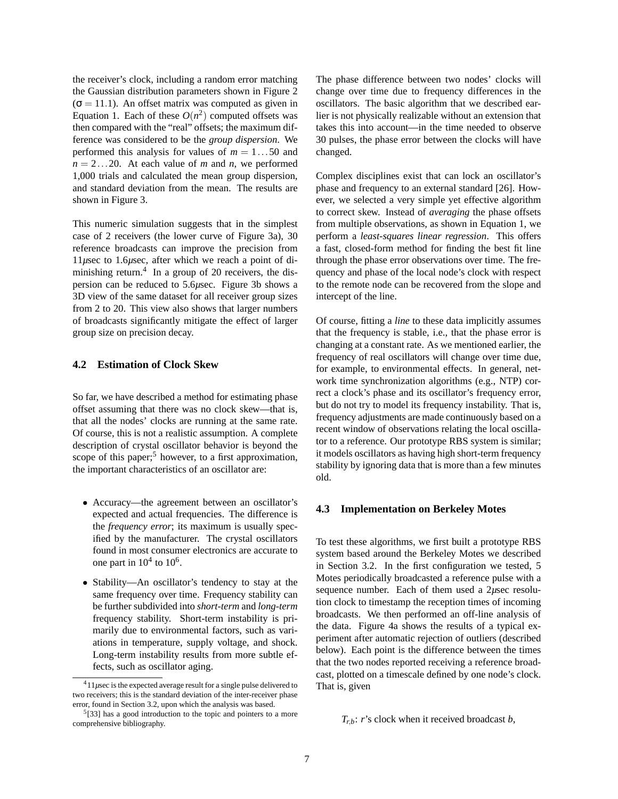the receiver's clock, including a random error matching the Gaussian distribution parameters shown in Figure 2  $(\sigma = 11.1)$ . An offset matrix was computed as given in Equation 1. Each of these  $O(n^2)$  computed offsets was then compared with the "real" offsets; the maximum difference was considered to be the *group dispersion*. We performed this analysis for values of  $m = 1...50$  and  $n = 2...20$ . At each value of *m* and *n*, we performed 1,000 trials and calculated the mean group dispersion, and standard deviation from the mean. The results are shown in Figure 3.

This numeric simulation suggests that in the simplest case of 2 receivers (the lower curve of Figure 3a), 30 reference broadcasts can improve the precision from 11*µ*sec to 1.6*µ*sec, after which we reach a point of diminishing return. $4$  In a group of 20 receivers, the dispersion can be reduced to 5.6*µ*sec. Figure 3b shows a 3D view of the same dataset for all receiver group sizes from 2 to 20. This view also shows that larger numbers of broadcasts significantly mitigate the effect of larger group size on precision decay.

# **4.2 Estimation of Clock Skew**

So far, we have described a method for estimating phase offset assuming that there was no clock skew—that is, that all the nodes' clocks are running at the same rate. Of course, this is not a realistic assumption. A complete description of crystal oscillator behavior is beyond the scope of this paper;<sup>5</sup> however, to a first approximation, the important characteristics of an oscillator are:

- Accuracy—the agreement between an oscillator's expected and actual frequencies. The difference is the *frequency error*; its maximum is usually specified by the manufacturer. The crystal oscillators found in most consumer electronics are accurate to one part in  $10^4$  to  $10^6$ .
- Stability—An oscillator's tendency to stay at the same frequency over time. Frequency stability can be further subdivided into *short-term* and *long-term* frequency stability. Short-term instability is primarily due to environmental factors, such as variations in temperature, supply voltage, and shock. Long-term instability results from more subtle effects, such as oscillator aging.

The phase difference between two nodes' clocks will change over time due to frequency differences in the oscillators. The basic algorithm that we described earlier is not physically realizable without an extension that takes this into account—in the time needed to observe 30 pulses, the phase error between the clocks will have changed.

Complex disciplines exist that can lock an oscillator's phase and frequency to an external standard [26]. However, we selected a very simple yet effective algorithm to correct skew. Instead of *averaging* the phase offsets from multiple observations, as shown in Equation 1, we perform a *least-squares linear regression*. This offers a fast, closed-form method for finding the best fit line through the phase error observations over time. The frequency and phase of the local node's clock with respect to the remote node can be recovered from the slope and intercept of the line.

Of course, fitting a *line* to these data implicitly assumes that the frequency is stable, i.e., that the phase error is changing at a constant rate. As we mentioned earlier, the frequency of real oscillators will change over time due, for example, to environmental effects. In general, network time synchronization algorithms (e.g., NTP) correct a clock's phase and its oscillator's frequency error, but do not try to model its frequency instability. That is, frequency adjustments are made continuously based on a recent window of observations relating the local oscillator to a reference. Our prototype RBS system is similar; it models oscillators as having high short-term frequency stability by ignoring data that is more than a few minutes old.

## **4.3 Implementation on Berkeley Motes**

To test these algorithms, we first built a prototype RBS system based around the Berkeley Motes we described in Section 3.2. In the first configuration we tested, 5 Motes periodically broadcasted a reference pulse with a sequence number. Each of them used a 2*µ*sec resolution clock to timestamp the reception times of incoming broadcasts. We then performed an off-line analysis of the data. Figure 4a shows the results of a typical experiment after automatic rejection of outliers (described below). Each point is the difference between the times that the two nodes reported receiving a reference broadcast, plotted on a timescale defined by one node's clock. That is, given

<sup>4</sup>11*µ*sec is the expected average result for a single pulse delivered to two receivers; this is the standard deviation of the inter-receiver phase error, found in Section 3.2, upon which the analysis was based.

 $5[33]$  has a good introduction to the topic and pointers to a more comprehensive bibliography.

*Tr*,*b*: *r*'s clock when it received broadcast *b*,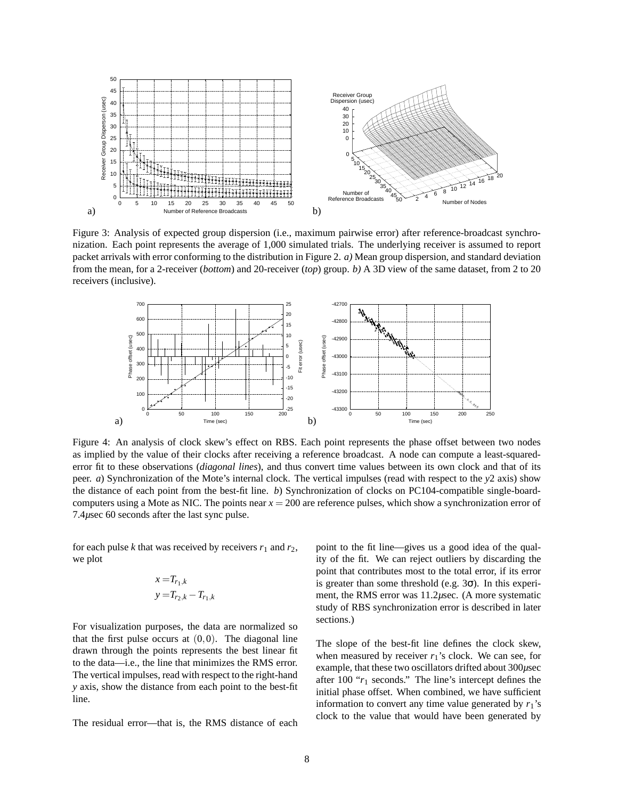

Figure 3: Analysis of expected group dispersion (i.e., maximum pairwise error) after reference-broadcast synchronization. Each point represents the average of 1,000 simulated trials. The underlying receiver is assumed to report packet arrivals with error conforming to the distribution in Figure 2. *a)* Mean group dispersion, and standard deviation from the mean, for a 2-receiver (*bottom*) and 20-receiver (*top*) group. *b)* A 3D view of the same dataset, from 2 to 20 receivers (inclusive).



Figure 4: An analysis of clock skew's effect on RBS. Each point represents the phase offset between two nodes as implied by the value of their clocks after receiving a reference broadcast. A node can compute a least-squarederror fit to these observations (*diagonal lines*), and thus convert time values between its own clock and that of its peer. *a*) Synchronization of the Mote's internal clock. The vertical impulses (read with respect to the *y*2 axis) show the distance of each point from the best-fit line. *b*) Synchronization of clocks on PC104-compatible single-boardcomputers using a Mote as NIC. The points near *x* = 200 are reference pulses, which show a synchronization error of 7.4*µ*sec 60 seconds after the last sync pulse.

for each pulse *k* that was received by receivers  $r_1$  and  $r_2$ , we plot

$$
x = T_{r_1,k}
$$
  

$$
y = T_{r_2,k} - T_{r_1,k}
$$

For visualization purposes, the data are normalized so that the first pulse occurs at  $(0,0)$ . The diagonal line drawn through the points represents the best linear fit to the data—i.e., the line that minimizes the RMS error. The vertical impulses, read with respect to the right-hand *y* axis, show the distance from each point to the best-fit line.

The residual error—that is, the RMS distance of each

point to the fit line—gives us a good idea of the quality of the fit. We can reject outliers by discarding the point that contributes most to the total error, if its error is greater than some threshold (e.g.  $3\sigma$ ). In this experiment, the RMS error was 11.2*µ*sec. (A more systematic study of RBS synchronization error is described in later sections.)

The slope of the best-fit line defines the clock skew, when measured by receiver  $r_1$ 's clock. We can see, for example, that these two oscillators drifted about 300*µ*sec after 100 "*r*<sup>1</sup> seconds." The line's intercept defines the initial phase offset. When combined, we have sufficient information to convert any time value generated by  $r_1$ 's clock to the value that would have been generated by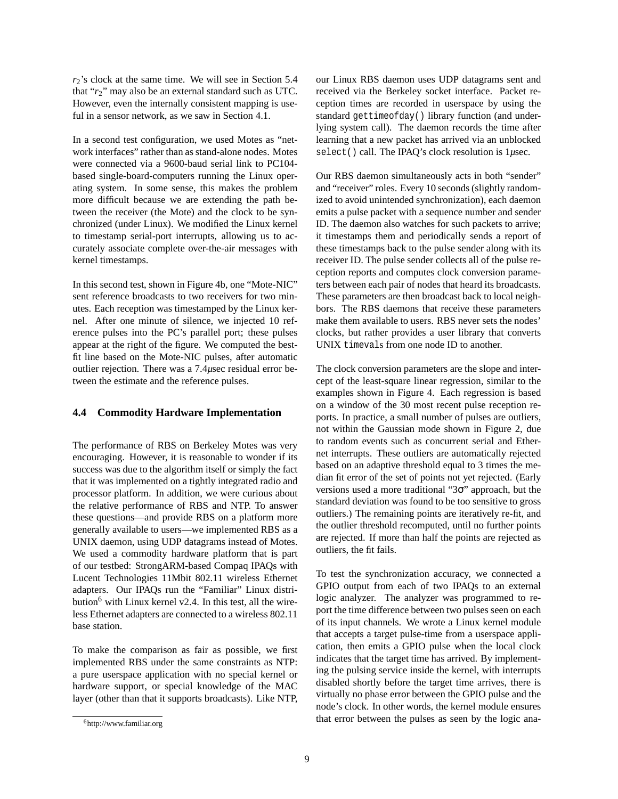*r*2's clock at the same time. We will see in Section 5.4 that "*r*2" may also be an external standard such as UTC. However, even the internally consistent mapping is useful in a sensor network, as we saw in Section 4.1.

In a second test configuration, we used Motes as "network interfaces" rather than as stand-alone nodes. Motes were connected via a 9600-baud serial link to PC104 based single-board-computers running the Linux operating system. In some sense, this makes the problem more difficult because we are extending the path between the receiver (the Mote) and the clock to be synchronized (under Linux). We modified the Linux kernel to timestamp serial-port interrupts, allowing us to accurately associate complete over-the-air messages with kernel timestamps.

In this second test, shown in Figure 4b, one "Mote-NIC" sent reference broadcasts to two receivers for two minutes. Each reception was timestamped by the Linux kernel. After one minute of silence, we injected 10 reference pulses into the PC's parallel port; these pulses appear at the right of the figure. We computed the bestfit line based on the Mote-NIC pulses, after automatic outlier rejection. There was a 7.4*µ*sec residual error between the estimate and the reference pulses.

#### **4.4 Commodity Hardware Implementation**

The performance of RBS on Berkeley Motes was very encouraging. However, it is reasonable to wonder if its success was due to the algorithm itself or simply the fact that it was implemented on a tightly integrated radio and processor platform. In addition, we were curious about the relative performance of RBS and NTP. To answer these questions—and provide RBS on a platform more generally available to users—we implemented RBS as a UNIX daemon, using UDP datagrams instead of Motes. We used a commodity hardware platform that is part of our testbed: StrongARM-based Compaq IPAQs with Lucent Technologies 11Mbit 802.11 wireless Ethernet adapters. Our IPAQs run the "Familiar" Linux distribution<sup>6</sup> with Linux kernel v2.4. In this test, all the wireless Ethernet adapters are connected to a wireless 802.11 base station.

To make the comparison as fair as possible, we first implemented RBS under the same constraints as NTP: a pure userspace application with no special kernel or hardware support, or special knowledge of the MAC layer (other than that it supports broadcasts). Like NTP,

our Linux RBS daemon uses UDP datagrams sent and received via the Berkeley socket interface. Packet reception times are recorded in userspace by using the standard gettimeofday() library function (and underlying system call). The daemon records the time after learning that a new packet has arrived via an unblocked select() call. The IPAQ's clock resolution is 1 $\mu$ sec.

Our RBS daemon simultaneously acts in both "sender" and "receiver" roles. Every 10 seconds (slightly randomized to avoid unintended synchronization), each daemon emits a pulse packet with a sequence number and sender ID. The daemon also watches for such packets to arrive; it timestamps them and periodically sends a report of these timestamps back to the pulse sender along with its receiver ID. The pulse sender collects all of the pulse reception reports and computes clock conversion parameters between each pair of nodes that heard its broadcasts. These parameters are then broadcast back to local neighbors. The RBS daemons that receive these parameters make them available to users. RBS never sets the nodes' clocks, but rather provides a user library that converts UNIX timevals from one node ID to another.

The clock conversion parameters are the slope and intercept of the least-square linear regression, similar to the examples shown in Figure 4. Each regression is based on a window of the 30 most recent pulse reception reports. In practice, a small number of pulses are outliers, not within the Gaussian mode shown in Figure 2, due to random events such as concurrent serial and Ethernet interrupts. These outliers are automatically rejected based on an adaptive threshold equal to 3 times the median fit error of the set of points not yet rejected. (Early versions used a more traditional "3σ" approach, but the standard deviation was found to be too sensitive to gross outliers.) The remaining points are iteratively re-fit, and the outlier threshold recomputed, until no further points are rejected. If more than half the points are rejected as outliers, the fit fails.

To test the synchronization accuracy, we connected a GPIO output from each of two IPAQs to an external logic analyzer. The analyzer was programmed to report the time difference between two pulses seen on each of its input channels. We wrote a Linux kernel module that accepts a target pulse-time from a userspace application, then emits a GPIO pulse when the local clock indicates that the target time has arrived. By implementing the pulsing service inside the kernel, with interrupts disabled shortly before the target time arrives, there is virtually no phase error between the GPIO pulse and the node's clock. In other words, the kernel module ensures that error between the pulses as seen by the logic ana-

<sup>6</sup>http://www.familiar.org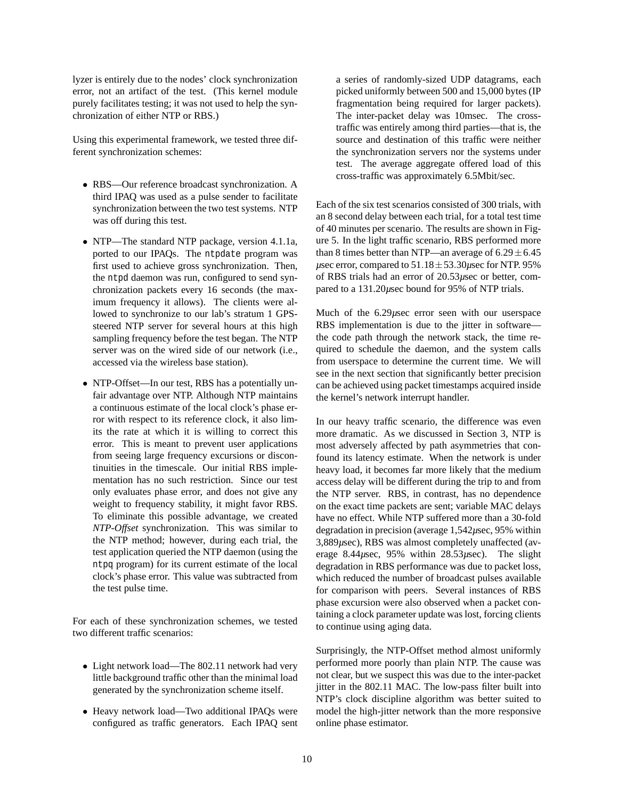lyzer is entirely due to the nodes' clock synchronization error, not an artifact of the test. (This kernel module purely facilitates testing; it was not used to help the synchronization of either NTP or RBS.)

Using this experimental framework, we tested three different synchronization schemes:

- RBS—Our reference broadcast synchronization. A third IPAQ was used as a pulse sender to facilitate synchronization between the two test systems. NTP was off during this test.
- NTP—The standard NTP package, version 4.1.1a, ported to our IPAQs. The ntpdate program was first used to achieve gross synchronization. Then, the ntpd daemon was run, configured to send synchronization packets every 16 seconds (the maximum frequency it allows). The clients were allowed to synchronize to our lab's stratum 1 GPSsteered NTP server for several hours at this high sampling frequency before the test began. The NTP server was on the wired side of our network (i.e., accessed via the wireless base station).
- NTP-Offset—In our test, RBS has a potentially unfair advantage over NTP. Although NTP maintains a continuous estimate of the local clock's phase error with respect to its reference clock, it also limits the rate at which it is willing to correct this error. This is meant to prevent user applications from seeing large frequency excursions or discontinuities in the timescale. Our initial RBS implementation has no such restriction. Since our test only evaluates phase error, and does not give any weight to frequency stability, it might favor RBS. To eliminate this possible advantage, we created *NTP-Offset* synchronization. This was similar to the NTP method; however, during each trial, the test application queried the NTP daemon (using the ntpq program) for its current estimate of the local clock's phase error. This value was subtracted from the test pulse time.

For each of these synchronization schemes, we tested two different traffic scenarios:

- Light network load—The 802.11 network had very little background traffic other than the minimal load generated by the synchronization scheme itself.
- Heavy network load—Two additional IPAQs were configured as traffic generators. Each IPAQ sent

a series of randomly-sized UDP datagrams, each picked uniformly between 500 and 15,000 bytes (IP fragmentation being required for larger packets). The inter-packet delay was 10msec. The crosstraffic was entirely among third parties—that is, the source and destination of this traffic were neither the synchronization servers nor the systems under test. The average aggregate offered load of this cross-traffic was approximately 6.5Mbit/sec.

Each of the six test scenarios consisted of 300 trials, with an 8 second delay between each trial, for a total test time of 40 minutes per scenario. The results are shown in Figure 5. In the light traffic scenario, RBS performed more than 8 times better than NTP—an average of  $6.29 \pm 6.45$ *µ*sec error, compared to 51.18±53.30*µ*sec for NTP. 95% of RBS trials had an error of 20.53*µ*sec or better, compared to a 131.20*µ*sec bound for 95% of NTP trials.

Much of the 6.29*µ*sec error seen with our userspace RBS implementation is due to the jitter in software the code path through the network stack, the time required to schedule the daemon, and the system calls from userspace to determine the current time. We will see in the next section that significantly better precision can be achieved using packet timestamps acquired inside the kernel's network interrupt handler.

In our heavy traffic scenario, the difference was even more dramatic. As we discussed in Section 3, NTP is most adversely affected by path asymmetries that confound its latency estimate. When the network is under heavy load, it becomes far more likely that the medium access delay will be different during the trip to and from the NTP server. RBS, in contrast, has no dependence on the exact time packets are sent; variable MAC delays have no effect. While NTP suffered more than a 30-fold degradation in precision (average 1,542*µ*sec, 95% within 3,889*µ*sec), RBS was almost completely unaffected (average 8.44*µ*sec, 95% within 28.53*µ*sec). The slight degradation in RBS performance was due to packet loss, which reduced the number of broadcast pulses available for comparison with peers. Several instances of RBS phase excursion were also observed when a packet containing a clock parameter update was lost, forcing clients to continue using aging data.

Surprisingly, the NTP-Offset method almost uniformly performed more poorly than plain NTP. The cause was not clear, but we suspect this was due to the inter-packet jitter in the 802.11 MAC. The low-pass filter built into NTP's clock discipline algorithm was better suited to model the high-jitter network than the more responsive online phase estimator.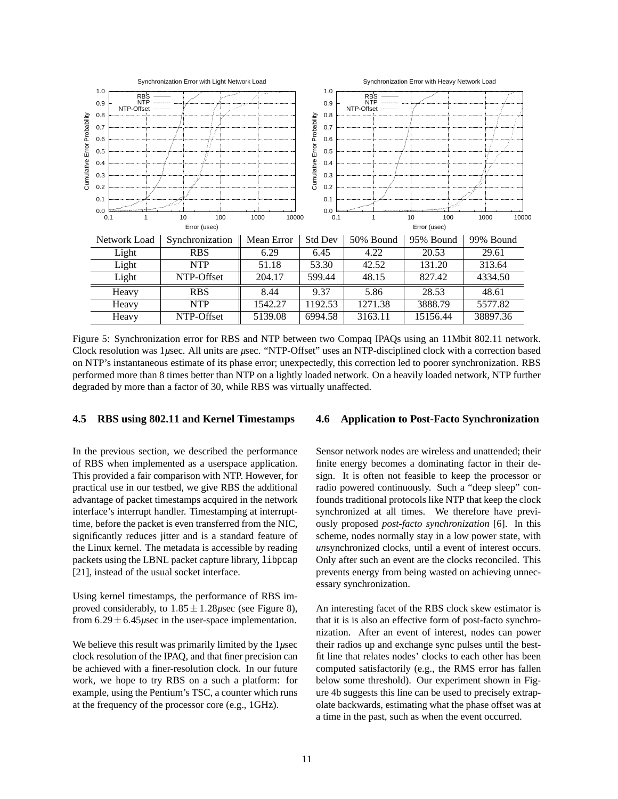

Figure 5: Synchronization error for RBS and NTP between two Compaq IPAQs using an 11Mbit 802.11 network. Clock resolution was 1*µ*sec. All units are *µ*sec. "NTP-Offset" uses an NTP-disciplined clock with a correction based on NTP's instantaneous estimate of its phase error; unexpectedly, this correction led to poorer synchronization. RBS performed more than 8 times better than NTP on a lightly loaded network. On a heavily loaded network, NTP further degraded by more than a factor of 30, while RBS was virtually unaffected.

#### **4.5 RBS using 802.11 and Kernel Timestamps**

In the previous section, we described the performance of RBS when implemented as a userspace application. This provided a fair comparison with NTP. However, for practical use in our testbed, we give RBS the additional advantage of packet timestamps acquired in the network interface's interrupt handler. Timestamping at interrupttime, before the packet is even transferred from the NIC, significantly reduces jitter and is a standard feature of the Linux kernel. The metadata is accessible by reading packets using the LBNL packet capture library, libpcap [21], instead of the usual socket interface.

Using kernel timestamps, the performance of RBS improved considerably, to  $1.85 \pm 1.28 \mu$ sec (see Figure 8), from  $6.29 \pm 6.45 \mu$ sec in the user-space implementation.

We believe this result was primarily limited by the  $1\mu$ sec clock resolution of the IPAQ, and that finer precision can be achieved with a finer-resolution clock. In our future work, we hope to try RBS on a such a platform: for example, using the Pentium's TSC, a counter which runs at the frequency of the processor core (e.g., 1GHz).

#### **4.6 Application to Post-Facto Synchronization**

Sensor network nodes are wireless and unattended; their finite energy becomes a dominating factor in their design. It is often not feasible to keep the processor or radio powered continuously. Such a "deep sleep" confounds traditional protocols like NTP that keep the clock synchronized at all times. We therefore have previously proposed *post-facto synchronization* [6]. In this scheme, nodes normally stay in a low power state, with *un*synchronized clocks, until a event of interest occurs. Only after such an event are the clocks reconciled. This prevents energy from being wasted on achieving unnecessary synchronization.

An interesting facet of the RBS clock skew estimator is that it is is also an effective form of post-facto synchronization. After an event of interest, nodes can power their radios up and exchange sync pulses until the bestfit line that relates nodes' clocks to each other has been computed satisfactorily (e.g., the RMS error has fallen below some threshold). Our experiment shown in Figure 4b suggests this line can be used to precisely extrapolate backwards, estimating what the phase offset was at a time in the past, such as when the event occurred.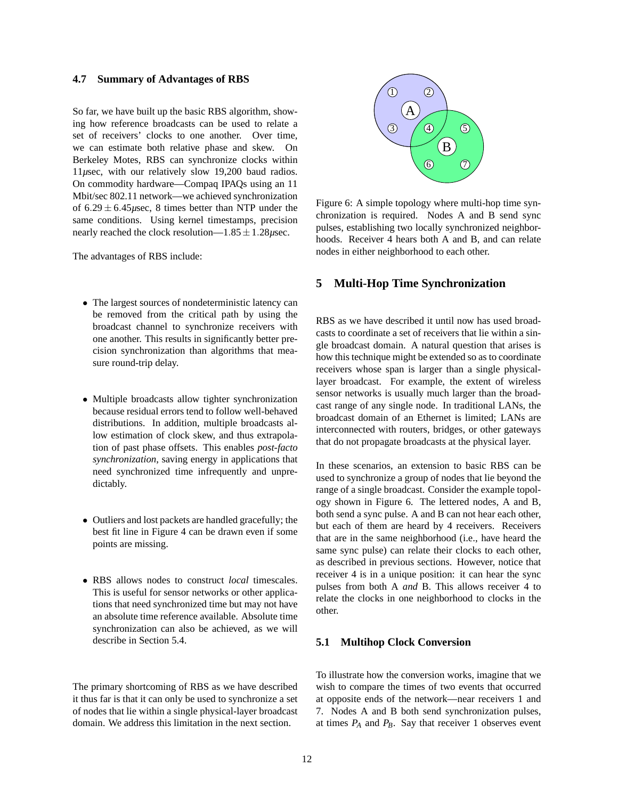#### **4.7 Summary of Advantages of RBS**

So far, we have built up the basic RBS algorithm, showing how reference broadcasts can be used to relate a set of receivers' clocks to one another. Over time, we can estimate both relative phase and skew. On Berkeley Motes, RBS can synchronize clocks within 11*µ*sec, with our relatively slow 19,200 baud radios. On commodity hardware—Compaq IPAQs using an 11 Mbit/sec 802.11 network—we achieved synchronization of  $6.29 \pm 6.45$ *µsec*, 8 times better than NTP under the same conditions. Using kernel timestamps, precision nearly reached the clock resolution— $1.85 \pm 1.28 \mu$ sec.

The advantages of RBS include:

- The largest sources of nondeterministic latency can be removed from the critical path by using the broadcast channel to synchronize receivers with one another. This results in significantly better precision synchronization than algorithms that measure round-trip delay.
- Multiple broadcasts allow tighter synchronization because residual errors tend to follow well-behaved distributions. In addition, multiple broadcasts allow estimation of clock skew, and thus extrapolation of past phase offsets. This enables *post-facto synchronization*, saving energy in applications that need synchronized time infrequently and unpredictably.
- Outliers and lost packets are handled gracefully; the best fit line in Figure 4 can be drawn even if some points are missing.
- RBS allows nodes to construct *local* timescales. This is useful for sensor networks or other applications that need synchronized time but may not have an absolute time reference available. Absolute time synchronization can also be achieved, as we will describe in Section 5.4.

The primary shortcoming of RBS as we have described it thus far is that it can only be used to synchronize a set of nodes that lie within a single physical-layer broadcast domain. We address this limitation in the next section.



Figure 6: A simple topology where multi-hop time synchronization is required. Nodes A and B send sync pulses, establishing two locally synchronized neighborhoods. Receiver 4 hears both A and B, and can relate nodes in either neighborhood to each other.

## **5 Multi-Hop Time Synchronization**

RBS as we have described it until now has used broadcasts to coordinate a set of receivers that lie within a single broadcast domain. A natural question that arises is how this technique might be extended so as to coordinate receivers whose span is larger than a single physicallayer broadcast. For example, the extent of wireless sensor networks is usually much larger than the broadcast range of any single node. In traditional LANs, the broadcast domain of an Ethernet is limited; LANs are interconnected with routers, bridges, or other gateways that do not propagate broadcasts at the physical layer.

In these scenarios, an extension to basic RBS can be used to synchronize a group of nodes that lie beyond the range of a single broadcast. Consider the example topology shown in Figure 6. The lettered nodes, A and B, both send a sync pulse. A and B can not hear each other, but each of them are heard by 4 receivers. Receivers that are in the same neighborhood (i.e., have heard the same sync pulse) can relate their clocks to each other, as described in previous sections. However, notice that receiver 4 is in a unique position: it can hear the sync pulses from both A *and* B. This allows receiver 4 to relate the clocks in one neighborhood to clocks in the other.

# **5.1 Multihop Clock Conversion**

To illustrate how the conversion works, imagine that we wish to compare the times of two events that occurred at opposite ends of the network—near receivers 1 and 7. Nodes A and B both send synchronization pulses, at times  $P_A$  and  $P_B$ . Say that receiver 1 observes event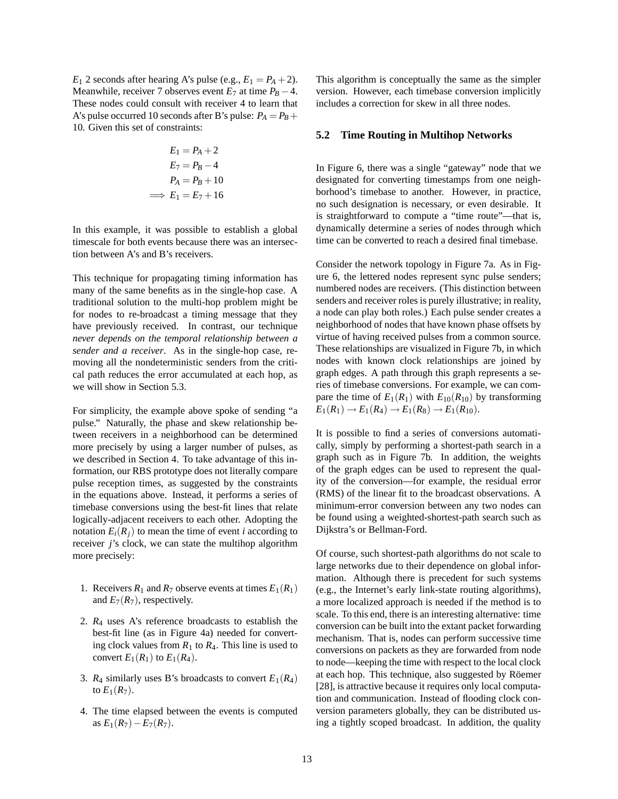$E_1$  2 seconds after hearing A's pulse (e.g.,  $E_1 = P_A + 2$ ). Meanwhile, receiver 7 observes event  $E_7$  at time  $P_B - 4$ . These nodes could consult with receiver 4 to learn that A's pulse occurred 10 seconds after B's pulse:  $P_A = P_B +$ 10. Given this set of constraints:

$$
E_1 = P_A + 2
$$
  
\n
$$
E_7 = P_B - 4
$$
  
\n
$$
P_A = P_B + 10
$$
  
\n
$$
\implies E_1 = E_7 + 16
$$

In this example, it was possible to establish a global timescale for both events because there was an intersection between A's and B's receivers.

This technique for propagating timing information has many of the same benefits as in the single-hop case. A traditional solution to the multi-hop problem might be for nodes to re-broadcast a timing message that they have previously received. In contrast, our technique *never depends on the temporal relationship between a sender and a receiver*. As in the single-hop case, removing all the nondeterministic senders from the critical path reduces the error accumulated at each hop, as we will show in Section 5.3.

For simplicity, the example above spoke of sending "a pulse." Naturally, the phase and skew relationship between receivers in a neighborhood can be determined more precisely by using a larger number of pulses, as we described in Section 4. To take advantage of this information, our RBS prototype does not literally compare pulse reception times, as suggested by the constraints in the equations above. Instead, it performs a series of timebase conversions using the best-fit lines that relate logically-adjacent receivers to each other. Adopting the notation  $E_i(R_i)$  to mean the time of event *i* according to receiver *j*'s clock, we can state the multihop algorithm more precisely:

- 1. Receivers  $R_1$  and  $R_7$  observe events at times  $E_1(R_1)$ and  $E_7(R_7)$ , respectively.
- 2. *R*<sup>4</sup> uses A's reference broadcasts to establish the best-fit line (as in Figure 4a) needed for converting clock values from  $R_1$  to  $R_4$ . This line is used to convert  $E_1(R_1)$  to  $E_1(R_4)$ .
- 3.  $R_4$  similarly uses B's broadcasts to convert  $E_1(R_4)$ to  $E_1(R_7)$ .
- 4. The time elapsed between the events is computed as  $E_1(R_7) - E_7(R_7)$ .

This algorithm is conceptually the same as the simpler version. However, each timebase conversion implicitly includes a correction for skew in all three nodes.

#### **5.2 Time Routing in Multihop Networks**

In Figure 6, there was a single "gateway" node that we designated for converting timestamps from one neighborhood's timebase to another. However, in practice, no such designation is necessary, or even desirable. It is straightforward to compute a "time route"—that is, dynamically determine a series of nodes through which time can be converted to reach a desired final timebase.

Consider the network topology in Figure 7a. As in Figure 6, the lettered nodes represent sync pulse senders; numbered nodes are receivers. (This distinction between senders and receiver roles is purely illustrative; in reality, a node can play both roles.) Each pulse sender creates a neighborhood of nodes that have known phase offsets by virtue of having received pulses from a common source. These relationships are visualized in Figure 7b, in which nodes with known clock relationships are joined by graph edges. A path through this graph represents a series of timebase conversions. For example, we can compare the time of  $E_1(R_1)$  with  $E_{10}(R_{10})$  by transforming  $E_1(R_1) \to E_1(R_4) \to E_1(R_8) \to E_1(R_{10}).$ 

It is possible to find a series of conversions automatically, simply by performing a shortest-path search in a graph such as in Figure 7b. In addition, the weights of the graph edges can be used to represent the quality of the conversion—for example, the residual error (RMS) of the linear fit to the broadcast observations. A minimum-error conversion between any two nodes can be found using a weighted-shortest-path search such as Dijkstra's or Bellman-Ford.

Of course, such shortest-path algorithms do not scale to large networks due to their dependence on global information. Although there is precedent for such systems (e.g., the Internet's early link-state routing algorithms), a more localized approach is needed if the method is to scale. To this end, there is an interesting alternative: time conversion can be built into the extant packet forwarding mechanism. That is, nodes can perform successive time conversions on packets as they are forwarded from node to node—keeping the time with respect to the local clock at each hop. This technique, also suggested by Röemer [28], is attractive because it requires only local computation and communication. Instead of flooding clock conversion parameters globally, they can be distributed using a tightly scoped broadcast. In addition, the quality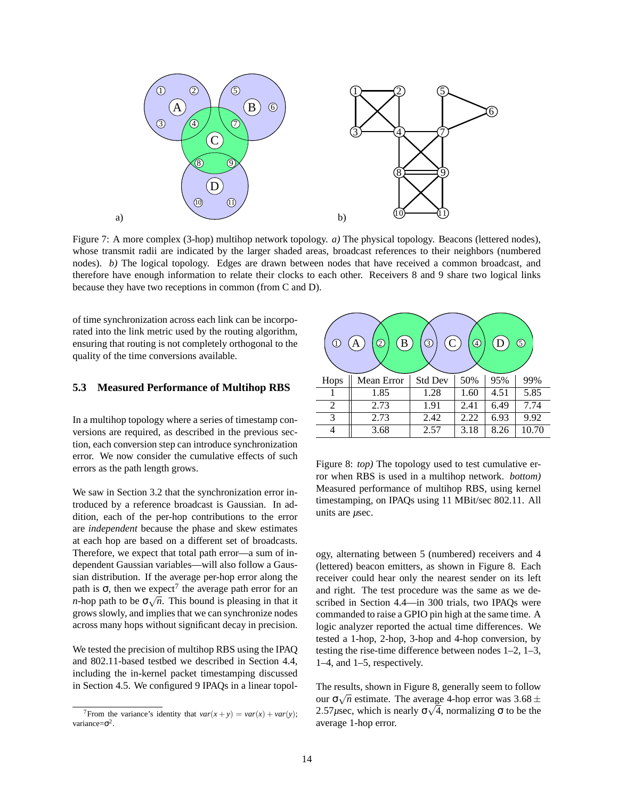

Figure 7: A more complex (3-hop) multihop network topology. *a)* The physical topology. Beacons (lettered nodes), whose transmit radii are indicated by the larger shaded areas, broadcast references to their neighbors (numbered nodes). *b)* The logical topology. Edges are drawn between nodes that have received a common broadcast, and therefore have enough information to relate their clocks to each other. Receivers 8 and 9 share two logical links because they have two receptions in common (from C and D).

of time synchronization across each link can be incorporated into the link metric used by the routing algorithm, ensuring that routing is not completely orthogonal to the quality of the time conversions available.

## **5.3 Measured Performance of Multihop RBS**

In a multihop topology where a series of timestamp conversions are required, as described in the previous section, each conversion step can introduce synchronization error. We now consider the cumulative effects of such errors as the path length grows.

We saw in Section 3.2 that the synchronization error introduced by a reference broadcast is Gaussian. In addition, each of the per-hop contributions to the error are *independent* because the phase and skew estimates at each hop are based on a different set of broadcasts. Therefore, we expect that total path error—a sum of independent Gaussian variables—will also follow a Gaussian distribution. If the average per-hop error along the path is  $\sigma$ , then we expect<sup>7</sup> the average path error for an *n*-hop path to be  $\sigma \sqrt{n}$ . This bound is pleasing in that it grows slowly, and implies that we can synchronize nodes across many hops without significant decay in precision.

We tested the precision of multihop RBS using the IPAQ and 802.11-based testbed we described in Section 4.4, including the in-kernel packet timestamping discussed in Section 4.5. We configured 9 IPAQs in a linear topol-

| $\overline{O}$<br>$\left( C\right)$<br>$\circledS$<br>$\overline{\textcircled{2}}$<br>$^\circledR$<br>$\overline{\mathbb{G}}$<br>B |            |                |      |      |       |
|------------------------------------------------------------------------------------------------------------------------------------|------------|----------------|------|------|-------|
| Hops                                                                                                                               | Mean Error | <b>Std Dev</b> | 50%  | 95%  | 99%   |
|                                                                                                                                    | 1.85       | 1.28           | 1.60 | 4.51 | 5.85  |
| 2                                                                                                                                  | 2.73       | 1.91           | 2.41 | 6.49 | 7.74  |
| 3                                                                                                                                  | 2.73       | 2.42           | 2.22 | 6.93 | 9.92  |
| 4                                                                                                                                  | 3.68       | 2.57           | 3.18 | 8.26 | 10.70 |

Figure 8: *top)* The topology used to test cumulative error when RBS is used in a multihop network. *bottom)* Measured performance of multihop RBS, using kernel timestamping, on IPAQs using 11 MBit/sec 802.11. All units are *µ*sec.

ogy, alternating between 5 (numbered) receivers and 4 (lettered) beacon emitters, as shown in Figure 8. Each receiver could hear only the nearest sender on its left and right. The test procedure was the same as we described in Section 4.4—in 300 trials, two IPAQs were commanded to raise a GPIO pin high at the same time. A logic analyzer reported the actual time differences. We tested a 1-hop, 2-hop, 3-hop and 4-hop conversion, by testing the rise-time difference between nodes 1–2, 1–3, 1–4, and 1–5, respectively.

The results, shown in Figure 8, generally seem to follow our  $\sigma \sqrt{n}$  estimate. The average 4-hop error was 3.68 ± 2.57 $\mu$ sec, which is nearly  $\sigma\sqrt{4}$ , normalizing  $\sigma$  to be the average 1-hop error.

<sup>&</sup>lt;sup>7</sup>From the variance's identity that  $var(x + y) = var(x) + var(y)$ ; variance= $\sigma^2$ .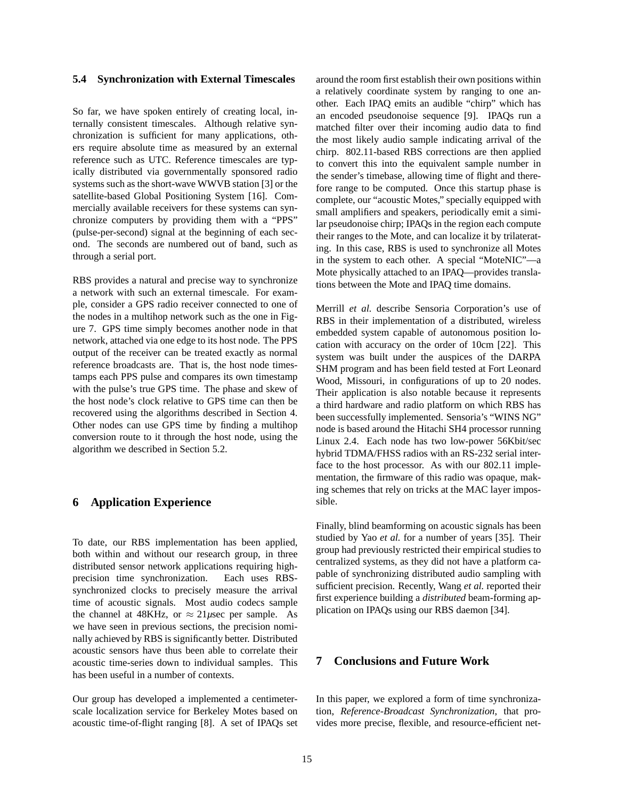#### **5.4 Synchronization with External Timescales**

So far, we have spoken entirely of creating local, internally consistent timescales. Although relative synchronization is sufficient for many applications, others require absolute time as measured by an external reference such as UTC. Reference timescales are typically distributed via governmentally sponsored radio systems such as the short-wave WWVB station [3] or the satellite-based Global Positioning System [16]. Commercially available receivers for these systems can synchronize computers by providing them with a "PPS" (pulse-per-second) signal at the beginning of each second. The seconds are numbered out of band, such as through a serial port.

RBS provides a natural and precise way to synchronize a network with such an external timescale. For example, consider a GPS radio receiver connected to one of the nodes in a multihop network such as the one in Figure 7. GPS time simply becomes another node in that network, attached via one edge to its host node. The PPS output of the receiver can be treated exactly as normal reference broadcasts are. That is, the host node timestamps each PPS pulse and compares its own timestamp with the pulse's true GPS time. The phase and skew of the host node's clock relative to GPS time can then be recovered using the algorithms described in Section 4. Other nodes can use GPS time by finding a multihop conversion route to it through the host node, using the algorithm we described in Section 5.2.

## **6 Application Experience**

To date, our RBS implementation has been applied, both within and without our research group, in three distributed sensor network applications requiring highprecision time synchronization. Each uses RBSsynchronized clocks to precisely measure the arrival time of acoustic signals. Most audio codecs sample the channel at 48KHz, or  $\approx$  21 $\mu$ sec per sample. As we have seen in previous sections, the precision nominally achieved by RBS issignificantly better. Distributed acoustic sensors have thus been able to correlate their acoustic time-series down to individual samples. This has been useful in a number of contexts.

Our group has developed a implemented a centimeterscale localization service for Berkeley Motes based on acoustic time-of-flight ranging [8]. A set of IPAQs set around the room first establish their own positions within a relatively coordinate system by ranging to one another. Each IPAQ emits an audible "chirp" which has an encoded pseudonoise sequence [9]. IPAQs run a matched filter over their incoming audio data to find the most likely audio sample indicating arrival of the chirp. 802.11-based RBS corrections are then applied to convert this into the equivalent sample number in the sender's timebase, allowing time of flight and therefore range to be computed. Once this startup phase is complete, our "acoustic Motes," specially equipped with small amplifiers and speakers, periodically emit a similar pseudonoise chirp; IPAQs in the region each compute their ranges to the Mote, and can localize it by trilaterating. In this case, RBS is used to synchronize all Motes in the system to each other. A special "MoteNIC"—a Mote physically attached to an IPAQ—provides translations between the Mote and IPAQ time domains.

Merrill *et al.* describe Sensoria Corporation's use of RBS in their implementation of a distributed, wireless embedded system capable of autonomous position location with accuracy on the order of 10cm [22]. This system was built under the auspices of the DARPA SHM program and has been field tested at Fort Leonard Wood, Missouri, in configurations of up to 20 nodes. Their application is also notable because it represents a third hardware and radio platform on which RBS has been successfully implemented. Sensoria's "WINS NG" node is based around the Hitachi SH4 processor running Linux 2.4. Each node has two low-power 56Kbit/sec hybrid TDMA/FHSS radios with an RS-232 serial interface to the host processor. As with our 802.11 implementation, the firmware of this radio was opaque, making schemes that rely on tricks at the MAC layer impossible.

Finally, blind beamforming on acoustic signals has been studied by Yao *et al.* for a number of years [35]. Their group had previously restricted their empirical studies to centralized systems, as they did not have a platform capable of synchronizing distributed audio sampling with sufficient precision. Recently, Wang *et al.* reported their first experience building a *distributed* beam-forming application on IPAQs using our RBS daemon [34].

# **7 Conclusions and Future Work**

In this paper, we explored a form of time synchronization, *Reference-Broadcast Synchronization*, that provides more precise, flexible, and resource-efficient net-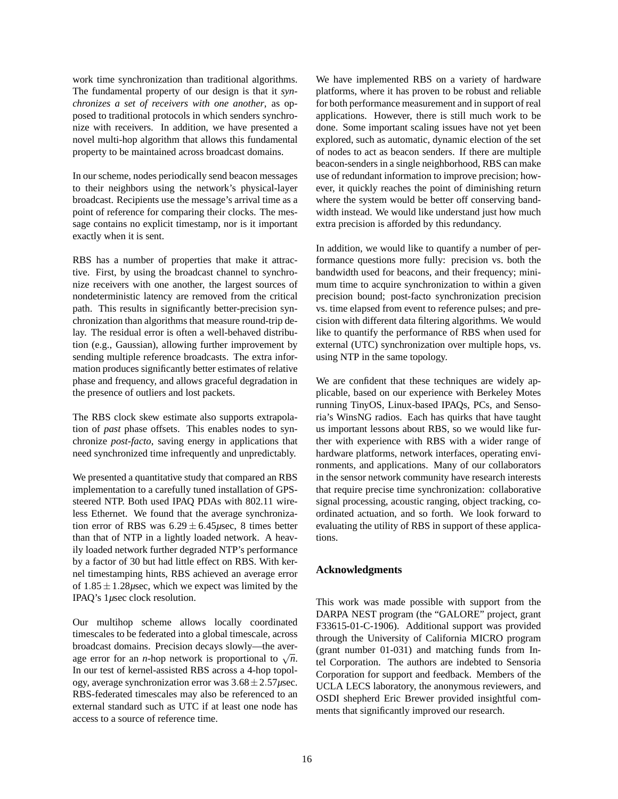work time synchronization than traditional algorithms. The fundamental property of our design is that it *synchronizes a set of receivers with one another*, as opposed to traditional protocols in which senders synchronize with receivers. In addition, we have presented a novel multi-hop algorithm that allows this fundamental property to be maintained across broadcast domains.

In our scheme, nodes periodically send beacon messages to their neighbors using the network's physical-layer broadcast. Recipients use the message's arrival time as a point of reference for comparing their clocks. The message contains no explicit timestamp, nor is it important exactly when it is sent.

RBS has a number of properties that make it attractive. First, by using the broadcast channel to synchronize receivers with one another, the largest sources of nondeterministic latency are removed from the critical path. This results in significantly better-precision synchronization than algorithms that measure round-trip delay. The residual error is often a well-behaved distribution (e.g., Gaussian), allowing further improvement by sending multiple reference broadcasts. The extra information produces significantly better estimates of relative phase and frequency, and allows graceful degradation in the presence of outliers and lost packets.

The RBS clock skew estimate also supports extrapolation of *past* phase offsets. This enables nodes to synchronize *post-facto*, saving energy in applications that need synchronized time infrequently and unpredictably.

We presented a quantitative study that compared an RBS implementation to a carefully tuned installation of GPSsteered NTP. Both used IPAQ PDAs with 802.11 wireless Ethernet. We found that the average synchronization error of RBS was  $6.29 \pm 6.45 \mu$ sec, 8 times better than that of NTP in a lightly loaded network. A heavily loaded network further degraded NTP's performance by a factor of 30 but had little effect on RBS. With kernel timestamping hints, RBS achieved an average error of  $1.85 \pm 1.28 \mu$ sec, which we expect was limited by the IPAQ's 1*µ*sec clock resolution.

Our multihop scheme allows locally coordinated timescales to be federated into a global timescale, across broadcast domains. Precision decays slowly—the average error for an *n*-hop network is proportional to  $\sqrt{n}$ . In our test of kernel-assisted RBS across a 4-hop topology, average synchronization error was 3.68±2.57*µ*sec. RBS-federated timescales may also be referenced to an external standard such as UTC if at least one node has access to a source of reference time.

We have implemented RBS on a variety of hardware platforms, where it has proven to be robust and reliable for both performance measurement and in support of real applications. However, there is still much work to be done. Some important scaling issues have not yet been explored, such as automatic, dynamic election of the set of nodes to act as beacon senders. If there are multiple beacon-senders in a single neighborhood, RBS can make use of redundant information to improve precision; however, it quickly reaches the point of diminishing return where the system would be better off conserving bandwidth instead. We would like understand just how much extra precision is afforded by this redundancy.

In addition, we would like to quantify a number of performance questions more fully: precision vs. both the bandwidth used for beacons, and their frequency; minimum time to acquire synchronization to within a given precision bound; post-facto synchronization precision vs. time elapsed from event to reference pulses; and precision with different data filtering algorithms. We would like to quantify the performance of RBS when used for external (UTC) synchronization over multiple hops, vs. using NTP in the same topology.

We are confident that these techniques are widely applicable, based on our experience with Berkeley Motes running TinyOS, Linux-based IPAQs, PCs, and Sensoria's WinsNG radios. Each has quirks that have taught us important lessons about RBS, so we would like further with experience with RBS with a wider range of hardware platforms, network interfaces, operating environments, and applications. Many of our collaborators in the sensor network community have research interests that require precise time synchronization: collaborative signal processing, acoustic ranging, object tracking, coordinated actuation, and so forth. We look forward to evaluating the utility of RBS in support of these applications.

#### **Acknowledgments**

This work was made possible with support from the DARPA NEST program (the "GALORE" project, grant F33615-01-C-1906). Additional support was provided through the University of California MICRO program (grant number 01-031) and matching funds from Intel Corporation. The authors are indebted to Sensoria Corporation for support and feedback. Members of the UCLA LECS laboratory, the anonymous reviewers, and OSDI shepherd Eric Brewer provided insightful comments that significantly improved our research.